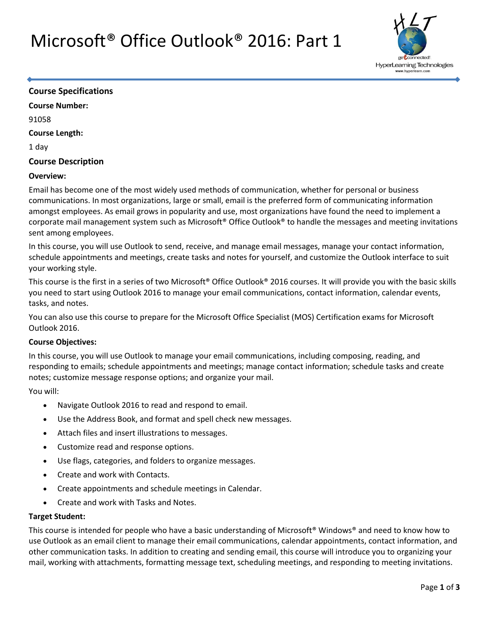# Microsoft® Office Outlook® 2016: Part 1



#### **Course Specifications**

**Course Number:** 

#### 91058

#### **Course Length:**

1 day

### **Course Description**

#### **Overview:**

Email has become one of the most widely used methods of communication, whether for personal or business communications. In most organizations, large or small, email is the preferred form of communicating information amongst employees. As email grows in popularity and use, most organizations have found the need to implement a corporate mail management system such as Microsoft® Office Outlook® to handle the messages and meeting invitations sent among employees.

In this course, you will use Outlook to send, receive, and manage email messages, manage your contact information, schedule appointments and meetings, create tasks and notes for yourself, and customize the Outlook interface to suit your working style.

This course is the first in a series of two Microsoft® Office Outlook® 2016 courses. It will provide you with the basic skills you need to start using Outlook 2016 to manage your email communications, contact information, calendar events, tasks, and notes.

You can also use this course to prepare for the Microsoft Office Specialist (MOS) Certification exams for Microsoft Outlook 2016.

#### **Course Objectives:**

In this course, you will use Outlook to manage your email communications, including composing, reading, and responding to emails; schedule appointments and meetings; manage contact information; schedule tasks and create notes; customize message response options; and organize your mail.

You will:

- Navigate Outlook 2016 to read and respond to email.
- Use the Address Book, and format and spell check new messages.
- Attach files and insert illustrations to messages.
- Customize read and response options.
- Use flags, categories, and folders to organize messages.
- Create and work with Contacts.
- Create appointments and schedule meetings in Calendar.
- Create and work with Tasks and Notes.

#### **Target Student:**

This course is intended for people who have a basic understanding of Microsoft® Windows® and need to know how to use Outlook as an email client to manage their email communications, calendar appointments, contact information, and other communication tasks. In addition to creating and sending email, this course will introduce you to organizing your mail, working with attachments, formatting message text, scheduling meetings, and responding to meeting invitations.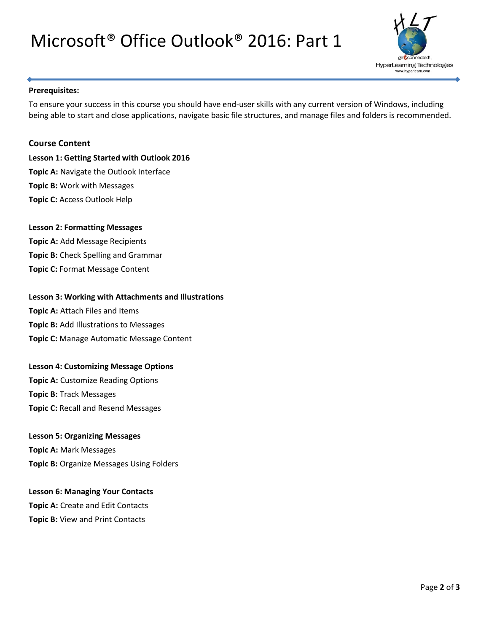## Microsoft® Office Outlook® 2016: Part 1



#### **Prerequisites:**

To ensure your success in this course you should have end-user skills with any current version of Windows, including being able to start and close applications, navigate basic file structures, and manage files and folders is recommended.

**Course Content Lesson 1: Getting Started with Outlook 2016 Topic A:** Navigate the Outlook Interface **Topic B:** Work with Messages **Topic C:** Access Outlook Help

**Lesson 2: Formatting Messages Topic A:** Add Message Recipients **Topic B:** Check Spelling and Grammar **Topic C:** Format Message Content

**Lesson 3: Working with Attachments and Illustrations** 

**Topic A: Attach Files and Items Topic B:** Add Illustrations to Messages **Topic C:** Manage Automatic Message Content

**Lesson 4: Customizing Message Options** 

**Topic A: Customize Reading Options Topic B:** Track Messages **Topic C:** Recall and Resend Messages

**Lesson 5: Organizing Messages Topic A:** Mark Messages **Topic B:** Organize Messages Using Folders

**Lesson 6: Managing Your Contacts Topic A:** Create and Edit Contacts **Topic B:** View and Print Contacts